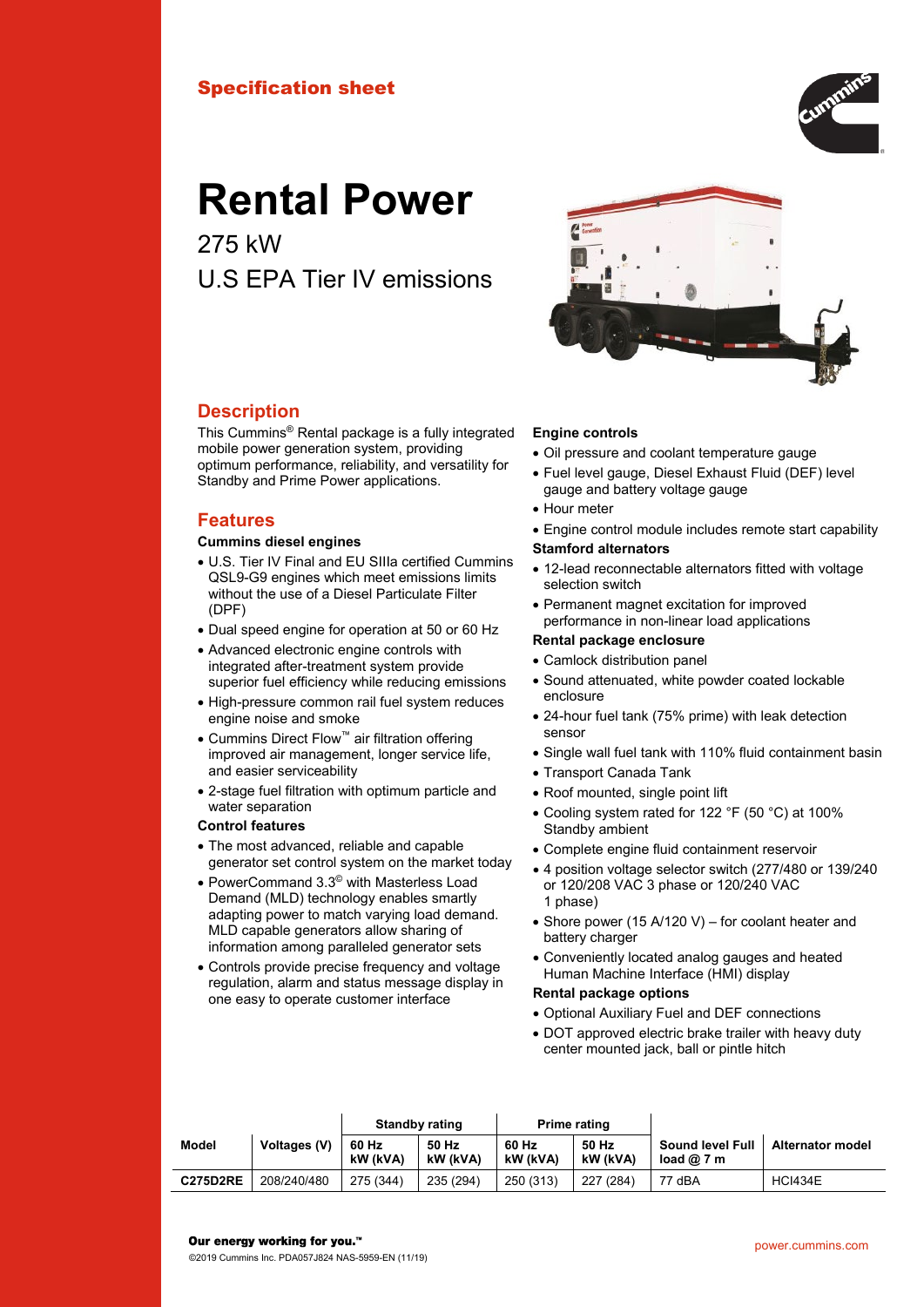# Specification sheet



# **Rental Power**

275 kW U.S EPA Tier IV emissions



#### **Description**

This Cummins® Rental package is a fully integrated mobile power generation system, providing optimum performance, reliability, and versatility for Standby and Prime Power applications.

#### **Features**

#### **Cummins diesel engines**

- U.S. Tier IV Final and EU SIIIa certified Cummins QSL9-G9 engines which meet emissions limits without the use of a Diesel Particulate Filter (DPF)
- Dual speed engine for operation at 50 or 60 Hz
- Advanced electronic engine controls with integrated after-treatment system provide superior fuel efficiency while reducing emissions
- High-pressure common rail fuel system reduces engine noise and smoke
- Cummins Direct Flow™ air filtration offering improved air management, longer service life, and easier serviceability
- 2-stage fuel filtration with optimum particle and water separation

#### **Control features**

- The most advanced, reliable and capable generator set control system on the market today
- PowerCommand 3.3© with Masterless Load Demand (MLD) technology enables smartly adapting power to match varying load demand. MLD capable generators allow sharing of information among paralleled generator sets
- Controls provide precise frequency and voltage regulation, alarm and status message display in one easy to operate customer interface

#### **Engine controls**

- Oil pressure and coolant temperature gauge
- Fuel level gauge, Diesel Exhaust Fluid (DEF) level gauge and battery voltage gauge
- Hour meter
- Engine control module includes remote start capability **Stamford alternators**
- 12-lead reconnectable alternators fitted with voltage selection switch
- Permanent magnet excitation for improved performance in non-linear load applications

#### **Rental package enclosure**

- Camlock distribution panel
- Sound attenuated, white powder coated lockable enclosure
- 24-hour fuel tank (75% prime) with leak detection sensor
- Single wall fuel tank with 110% fluid containment basin
- Transport Canada Tank
- Roof mounted, single point lift
- Cooling system rated for 122 °F (50 °C) at 100% Standby ambient
- Complete engine fluid containment reservoir
- 4 position voltage selector switch (277/480 or 139/240 or 120/208 VAC 3 phase or 120/240 VAC 1 phase)
- Shore power (15 A/120 V) for coolant heater and battery charger
- Conveniently located analog gauges and heated Human Machine Interface (HMI) display

#### **Rental package options**

- Optional Auxiliary Fuel and DEF connections
- DOT approved electric brake trailer with heavy duty center mounted jack, ball or pintle hitch

|                 |              | Standby rating    |                   | Prime rating      |                   |                                       |                         |
|-----------------|--------------|-------------------|-------------------|-------------------|-------------------|---------------------------------------|-------------------------|
| Model           | Voltages (V) | 60 Hz<br>kW (kVA) | 50 Hz<br>kW (kVA) | 60 Hz<br>kW (kVA) | 50 Hz<br>kW (kVA) | <b>Sound level Full</b><br>load $@7m$ | <b>Alternator model</b> |
| <b>C275D2RE</b> | 208/240/480  | 275 (344)         | 235 (294)         | 250 (313)         | 227 (284)         | 77 dBA                                | <b>HCI434E</b>          |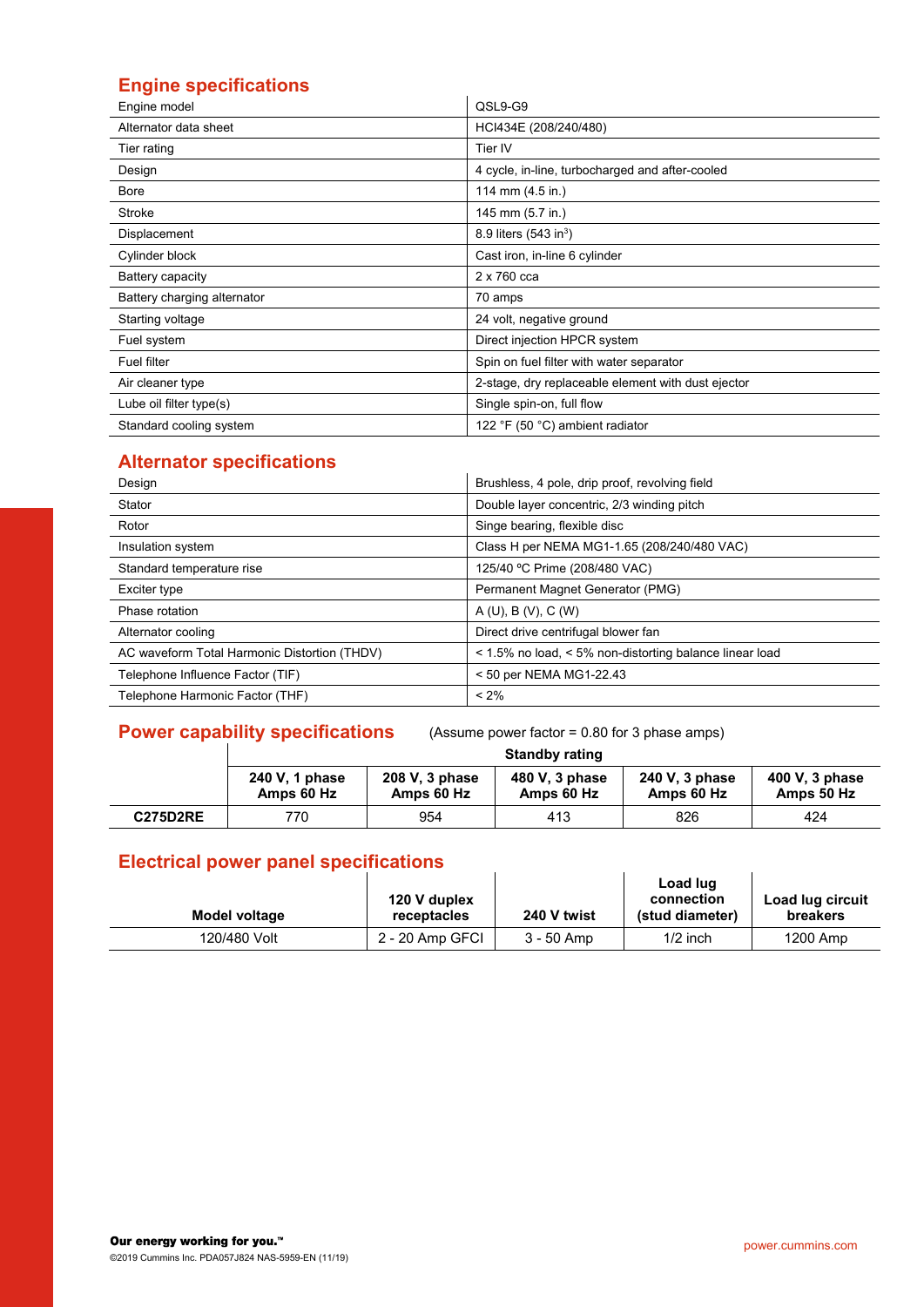# **Engine specifications**

| Engine model                | QSL9-G9                                            |
|-----------------------------|----------------------------------------------------|
| Alternator data sheet       | HCI434E (208/240/480)                              |
| Tier rating                 | Tier IV                                            |
| Design                      | 4 cycle, in-line, turbocharged and after-cooled    |
| Bore                        | 114 mm (4.5 in.)                                   |
| Stroke                      | 145 mm (5.7 in.)                                   |
| Displacement                | 8.9 liters $(543 \text{ in}^3)$                    |
| Cylinder block              | Cast iron, in-line 6 cylinder                      |
| Battery capacity            | 2 x 760 cca                                        |
| Battery charging alternator | 70 amps                                            |
| Starting voltage            | 24 volt, negative ground                           |
| Fuel system                 | Direct injection HPCR system                       |
| <b>Fuel filter</b>          | Spin on fuel filter with water separator           |
| Air cleaner type            | 2-stage, dry replaceable element with dust ejector |
| Lube oil filter type(s)     | Single spin-on, full flow                          |
| Standard cooling system     | 122 °F (50 °C) ambient radiator                    |

# **Alternator specifications**

| Design                                       | Brushless, 4 pole, drip proof, revolving field          |
|----------------------------------------------|---------------------------------------------------------|
| Stator                                       | Double layer concentric, 2/3 winding pitch              |
| Rotor                                        | Singe bearing, flexible disc                            |
| Insulation system                            | Class H per NEMA MG1-1.65 (208/240/480 VAC)             |
| Standard temperature rise                    | 125/40 °C Prime (208/480 VAC)                           |
| Exciter type                                 | Permanent Magnet Generator (PMG)                        |
| Phase rotation                               | A(U), B(V), C(W)                                        |
| Alternator cooling                           | Direct drive centrifugal blower fan                     |
| AC waveform Total Harmonic Distortion (THDV) | < 1.5% no load, < 5% non-distorting balance linear load |
| Telephone Influence Factor (TIF)             | < 50 per NEMA MG1-22.43                                 |
| Telephone Harmonic Factor (THF)              | $< 2\%$                                                 |

# **Power capability specifications** (Assume power factor = 0.80 for 3 phase amps)

|                 | <b>Standby rating</b>        |                              |                              |                              |                              |  |  |  |  |
|-----------------|------------------------------|------------------------------|------------------------------|------------------------------|------------------------------|--|--|--|--|
|                 | 240 V, 1 phase<br>Amps 60 Hz | 208 V, 3 phase<br>Amps 60 Hz | 480 V, 3 phase<br>Amps 60 Hz | 240 V, 3 phase<br>Amps 60 Hz | 400 V, 3 phase<br>Amps 50 Hz |  |  |  |  |
| <b>C275D2RE</b> | 770                          | 954                          | 413                          | 826                          | 424                          |  |  |  |  |

# **Electrical power panel specifications**

| Model voltage | 120 V duplex<br>receptacles | 240 V twist  | Load lug<br>connection<br>(stud diameter) | Load lug circuit<br>breakers |
|---------------|-----------------------------|--------------|-------------------------------------------|------------------------------|
| 120/480 Volt  | 2 - 20 Amp GFCI             | $3 - 50$ Amp | $1/2$ inch                                | 1200 Amp                     |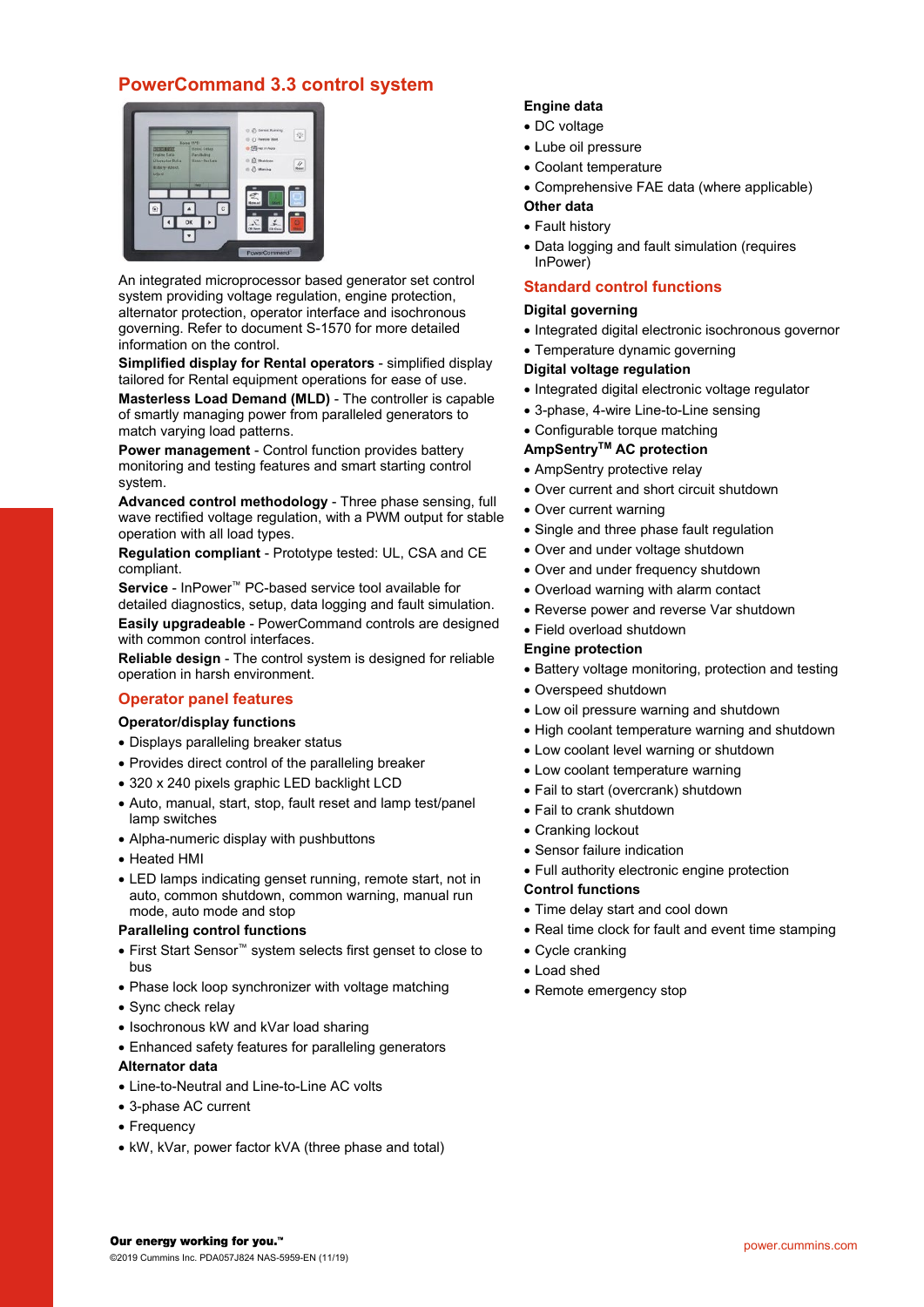# **PowerCommand 3.3 control system**



An integrated microprocessor based generator set control system providing voltage regulation, engine protection, alternator protection, operator interface and isochronous governing. Refer to document S-1570 for more detailed information on the control.

**Simplified display for Rental operators** - simplified display tailored for Rental equipment operations for ease of use.

**Masterless Load Demand (MLD)** - The controller is capable of smartly managing power from paralleled generators to match varying load patterns.

**Power management** - Control function provides battery monitoring and testing features and smart starting control system.

**Advanced control methodology** - Three phase sensing, full wave rectified voltage regulation, with a PWM output for stable operation with all load types.

**Regulation compliant** - Prototype tested: UL, CSA and CE compliant.

**Service** - InPower™ PC-based service tool available for detailed diagnostics, setup, data logging and fault simulation.

**Easily upgradeable** - PowerCommand controls are designed with common control interfaces.

**Reliable design** - The control system is designed for reliable operation in harsh environment.

## **Operator panel features**

#### **Operator/display functions**

- Displays paralleling breaker status
- Provides direct control of the paralleling breaker
- 320 x 240 pixels graphic LED backlight LCD
- Auto, manual, start, stop, fault reset and lamp test/panel lamp switches
- Alpha-numeric display with pushbuttons
- Heated HMI
- LED lamps indicating genset running, remote start, not in auto, common shutdown, common warning, manual run mode, auto mode and stop

#### **Paralleling control functions**

- First Start Sensor™ system selects first genset to close to bus
- Phase lock loop synchronizer with voltage matching
- Sync check relay
- Isochronous kW and kVar load sharing
- Enhanced safety features for paralleling generators

#### **Alternator data**

- Line-to-Neutral and Line-to-Line AC volts
- 3-phase AC current
- Frequency
- kW, kVar, power factor kVA (three phase and total)

#### **Engine data**

- DC voltage
- Lube oil pressure
- Coolant temperature
- Comprehensive FAE data (where applicable)

#### **Other data**

- Fault history
- Data logging and fault simulation (requires InPower)

#### **Standard control functions**

#### **Digital governing**

- Integrated digital electronic isochronous governor
- Temperature dynamic governing

#### **Digital voltage regulation**

- Integrated digital electronic voltage regulator
- 3-phase, 4-wire Line-to-Line sensing
- Configurable torque matching

#### **AmpSentryTM AC protection**

- AmpSentry protective relay
- Over current and short circuit shutdown
- Over current warning
- Single and three phase fault regulation
- Over and under voltage shutdown
- Over and under frequency shutdown
- Overload warning with alarm contact
- Reverse power and reverse Var shutdown
- Field overload shutdown

#### **Engine protection**

- Battery voltage monitoring, protection and testing
- Overspeed shutdown
- Low oil pressure warning and shutdown
- High coolant temperature warning and shutdown
- Low coolant level warning or shutdown
- Low coolant temperature warning
- Fail to start (overcrank) shutdown
- Fail to crank shutdown
- Cranking lockout
- Sensor failure indication
- Full authority electronic engine protection

#### **Control functions**

- Time delay start and cool down
- Real time clock for fault and event time stamping
- Cycle cranking
- Load shed
- Remote emergency stop